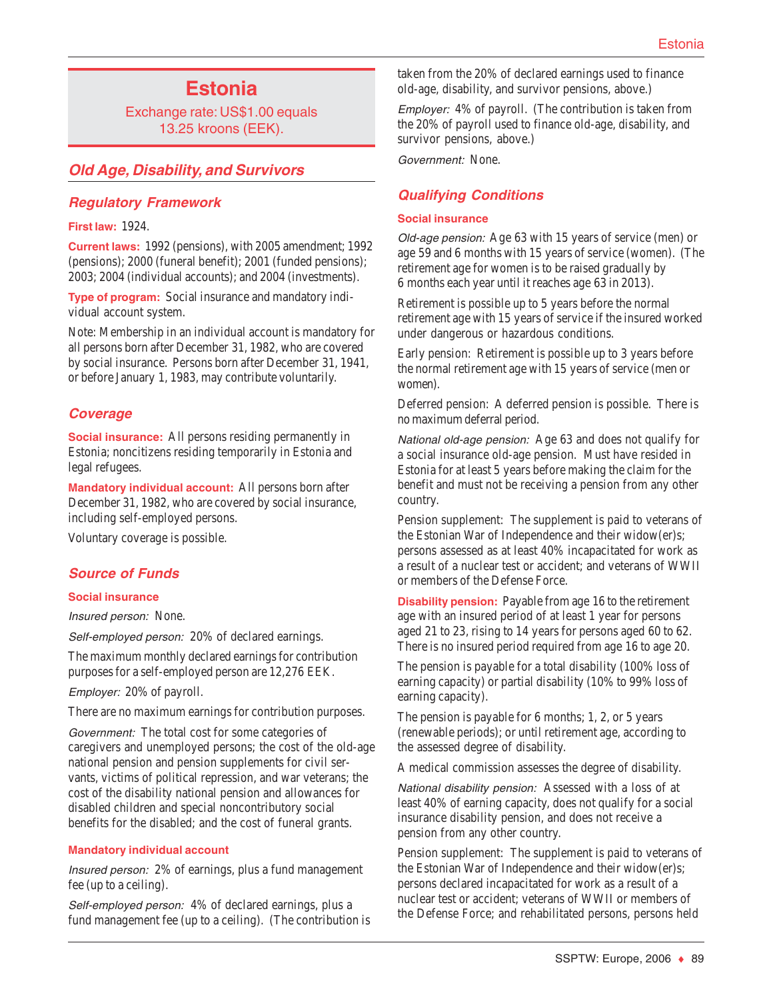# **Estonia**

Exchange rate: US\$1.00 equals 13.25 kroons (EEK).

## **Old Age, Disability, and Survivors**

### **Regulatory Framework**

#### **First law:** 1924.

**Current laws:** 1992 (pensions), with 2005 amendment; 1992 (pensions); 2000 (funeral benefit); 2001 (funded pensions); 2003; 2004 (individual accounts); and 2004 (investments).

**Type of program:** Social insurance and mandatory individual account system.

Note: Membership in an individual account is mandatory for all persons born after December 31, 1982, who are covered by social insurance. Persons born after December 31, 1941, or before January 1, 1983, may contribute voluntarily.

### **Coverage**

**Social insurance:** All persons residing permanently in Estonia; noncitizens residing temporarily in Estonia and legal refugees.

**Mandatory individual account:** All persons born after December 31, 1982, who are covered by social insurance, including self-employed persons.

Voluntary coverage is possible.

## **Source of Funds**

### **Social insurance**

Insured person: None.

Self-employed person: 20% of declared earnings.

The maximum monthly declared earnings for contribution purposes for a self-employed person are 12,276 EEK.

Employer: 20% of payroll.

There are no maximum earnings for contribution purposes.

Government: The total cost for some categories of caregivers and unemployed persons; the cost of the old-age national pension and pension supplements for civil servants, victims of political repression, and war veterans; the cost of the disability national pension and allowances for disabled children and special noncontributory social benefits for the disabled; and the cost of funeral grants.

### **Mandatory individual account**

Insured person: 2% of earnings, plus a fund management fee (up to a ceiling).

Self-employed person: 4% of declared earnings, plus a fund management fee (up to a ceiling). (The contribution is taken from the 20% of declared earnings used to finance old-age, disability, and survivor pensions, above.)

Employer: 4% of payroll. (The contribution is taken from the 20% of payroll used to finance old-age, disability, and survivor pensions, above.)

Government: None.

## **Qualifying Conditions**

#### **Social insurance**

Old-age pension: Age 63 with 15 years of service (men) or age 59 and 6 months with 15 years of service (women). (The retirement age for women is to be raised gradually by 6 months each year until it reaches age 63 in 2013).

Retirement is possible up to 5 years before the normal retirement age with 15 years of service if the insured worked under dangerous or hazardous conditions.

Early pension: Retirement is possible up to 3 years before the normal retirement age with 15 years of service (men or women).

Deferred pension: A deferred pension is possible. There is no maximum deferral period.

National old-age pension: Age 63 and does not qualify for a social insurance old-age pension. Must have resided in Estonia for at least 5 years before making the claim for the benefit and must not be receiving a pension from any other country.

Pension supplement: The supplement is paid to veterans of the Estonian War of Independence and their widow(er)s; persons assessed as at least 40% incapacitated for work as a result of a nuclear test or accident; and veterans of WWII or members of the Defense Force.

**Disability pension:** Payable from age 16 to the retirement age with an insured period of at least 1 year for persons aged 21 to 23, rising to 14 years for persons aged 60 to 62. There is no insured period required from age 16 to age 20.

The pension is payable for a total disability (100% loss of earning capacity) or partial disability (10% to 99% loss of earning capacity).

The pension is payable for 6 months; 1, 2, or 5 years (renewable periods); or until retirement age, according to the assessed degree of disability.

A medical commission assesses the degree of disability.

National disability pension: Assessed with a loss of at least 40% of earning capacity, does not qualify for a social insurance disability pension, and does not receive a pension from any other country.

Pension supplement: The supplement is paid to veterans of the Estonian War of Independence and their widow(er)s; persons declared incapacitated for work as a result of a nuclear test or accident; veterans of WWII or members of the Defense Force; and rehabilitated persons, persons held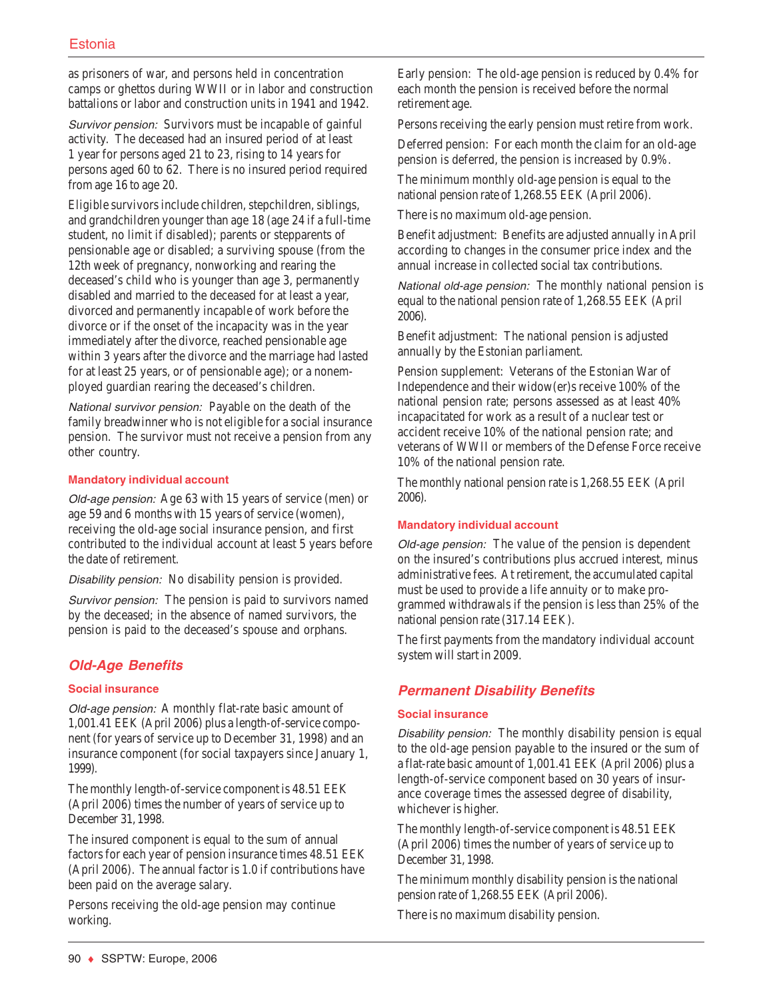as prisoners of war, and persons held in concentration camps or ghettos during WWII or in labor and construction battalions or labor and construction units in 1941 and 1942.

Survivor pension: Survivors must be incapable of gainful activity. The deceased had an insured period of at least 1 year for persons aged 21 to 23, rising to 14 years for persons aged 60 to 62. There is no insured period required from age 16 to age 20.

Eligible survivors include children, stepchildren, siblings, and grandchildren younger than age 18 (age 24 if a full-time student, no limit if disabled); parents or stepparents of pensionable age or disabled; a surviving spouse (from the 12th week of pregnancy, nonworking and rearing the deceased's child who is younger than age 3, permanently disabled and married to the deceased for at least a year, divorced and permanently incapable of work before the divorce or if the onset of the incapacity was in the year immediately after the divorce, reached pensionable age within 3 years after the divorce and the marriage had lasted for at least 25 years, or of pensionable age); or a nonemployed guardian rearing the deceased's children.

National survivor pension: Payable on the death of the family breadwinner who is not eligible for a social insurance pension. The survivor must not receive a pension from any other country.

#### **Mandatory individual account**

Old-age pension: Age 63 with 15 years of service (men) or age 59 and 6 months with 15 years of service (women), receiving the old-age social insurance pension, and first contributed to the individual account at least 5 years before the date of retirement.

Disability pension: No disability pension is provided.

Survivor pension: The pension is paid to survivors named by the deceased; in the absence of named survivors, the pension is paid to the deceased's spouse and orphans.

## **Old-Age Benefits**

### **Social insurance**

Old-age pension: A monthly flat-rate basic amount of 1,001.41 EEK (April 2006) plus a length-of-service component (for years of service up to December 31, 1998) and an insurance component (for social taxpayers since January 1, 1999).

The monthly length-of-service component is 48.51 EEK (April 2006) times the number of years of service up to December 31, 1998.

The insured component is equal to the sum of annual factors for each year of pension insurance times 48.51 EEK (April 2006). The annual factor is 1.0 if contributions have been paid on the average salary.

Persons receiving the old-age pension may continue working.

Early pension: The old-age pension is reduced by 0.4% for each month the pension is received before the normal retirement age.

Persons receiving the early pension must retire from work.

Deferred pension: For each month the claim for an old-age pension is deferred, the pension is increased by 0.9%.

The minimum monthly old-age pension is equal to the national pension rate of 1,268.55 EEK (April 2006).

There is no maximum old-age pension.

Benefit adjustment: Benefits are adjusted annually in April according to changes in the consumer price index and the annual increase in collected social tax contributions.

National old-age pension: The monthly national pension is equal to the national pension rate of 1,268.55 EEK (April 2006).

Benefit adjustment: The national pension is adjusted annually by the Estonian parliament.

Pension supplement: Veterans of the Estonian War of Independence and their widow(er)s receive 100% of the national pension rate; persons assessed as at least 40% incapacitated for work as a result of a nuclear test or accident receive 10% of the national pension rate; and veterans of WWII or members of the Defense Force receive 10% of the national pension rate.

The monthly national pension rate is 1,268.55 EEK (April 2006).

#### **Mandatory individual account**

Old-age pension: The value of the pension is dependent on the insured's contributions plus accrued interest, minus administrative fees. At retirement, the accumulated capital must be used to provide a life annuity or to make programmed withdrawals if the pension is less than 25% of the national pension rate (317.14 EEK).

The first payments from the mandatory individual account system will start in 2009.

## **Permanent Disability Benefits**

#### **Social insurance**

Disability pension: The monthly disability pension is equal to the old-age pension payable to the insured or the sum of a flat-rate basic amount of 1,001.41 EEK (April 2006) plus a length-of-service component based on 30 years of insurance coverage times the assessed degree of disability, whichever is higher.

The monthly length-of-service component is 48.51 EEK (April 2006) times the number of years of service up to December 31, 1998.

The minimum monthly disability pension is the national pension rate of 1,268.55 EEK (April 2006).

There is no maximum disability pension.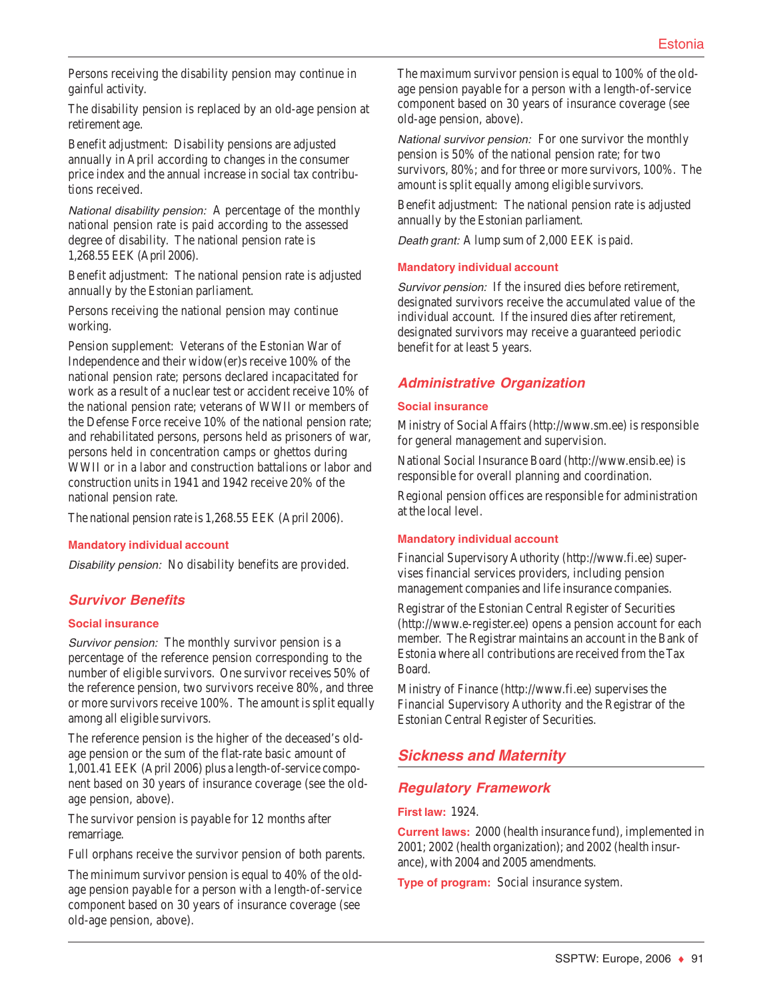Persons receiving the disability pension may continue in gainful activity.

The disability pension is replaced by an old-age pension at retirement age.

Benefit adjustment: Disability pensions are adjusted annually in April according to changes in the consumer price index and the annual increase in social tax contributions received.

National disability pension: A percentage of the monthly national pension rate is paid according to the assessed degree of disability. The national pension rate is 1,268.55 EEK (April 2006).

Benefit adjustment: The national pension rate is adjusted annually by the Estonian parliament.

Persons receiving the national pension may continue working.

Pension supplement: Veterans of the Estonian War of Independence and their widow(er)s receive 100% of the national pension rate; persons declared incapacitated for work as a result of a nuclear test or accident receive 10% of the national pension rate; veterans of WWII or members of the Defense Force receive 10% of the national pension rate; and rehabilitated persons, persons held as prisoners of war, persons held in concentration camps or ghettos during WWII or in a labor and construction battalions or labor and construction units in 1941 and 1942 receive 20% of the national pension rate.

The national pension rate is 1,268.55 EEK (April 2006).

#### **Mandatory individual account**

Disability pension: No disability benefits are provided.

### **Survivor Benefits**

#### **Social insurance**

Survivor pension: The monthly survivor pension is a percentage of the reference pension corresponding to the number of eligible survivors. One survivor receives 50% of the reference pension, two survivors receive 80%, and three or more survivors receive 100%. The amount is split equally among all eligible survivors.

The reference pension is the higher of the deceased's oldage pension or the sum of the flat-rate basic amount of 1,001.41 EEK (April 2006) plus a length-of-service component based on 30 years of insurance coverage (see the oldage pension, above).

The survivor pension is payable for 12 months after remarriage.

Full orphans receive the survivor pension of both parents.

The minimum survivor pension is equal to 40% of the oldage pension payable for a person with a length-of-service component based on 30 years of insurance coverage (see old-age pension, above).

The maximum survivor pension is equal to 100% of the oldage pension payable for a person with a length-of-service component based on 30 years of insurance coverage (see old-age pension, above).

National survivor pension: For one survivor the monthly pension is 50% of the national pension rate; for two survivors, 80%; and for three or more survivors, 100%. The amount is split equally among eligible survivors.

Benefit adjustment: The national pension rate is adjusted annually by the Estonian parliament.

Death grant: A lump sum of 2,000 EEK is paid.

#### **Mandatory individual account**

Survivor pension: If the insured dies before retirement, designated survivors receive the accumulated value of the individual account. If the insured dies after retirement, designated survivors may receive a guaranteed periodic benefit for at least 5 years.

### **Administrative Organization**

#### **Social insurance**

Ministry of Social Affairs (http://www.sm.ee) is responsible for general management and supervision.

National Social Insurance Board (http://www.ensib.ee) is responsible for overall planning and coordination.

Regional pension offices are responsible for administration at the local level.

#### **Mandatory individual account**

Financial Supervisory Authority (http://www.fi.ee) supervises financial services providers, including pension management companies and life insurance companies.

Registrar of the Estonian Central Register of Securities (http://www.e-register.ee) opens a pension account for each member. The Registrar maintains an account in the Bank of Estonia where all contributions are received from the Tax Board.

Ministry of Finance (http://www.fi.ee) supervises the Financial Supervisory Authority and the Registrar of the Estonian Central Register of Securities.

## **Sickness and Maternity**

### **Regulatory Framework**

#### **First law:** 1924.

**Current laws:** 2000 (health insurance fund), implemented in 2001; 2002 (health organization); and 2002 (health insurance), with 2004 and 2005 amendments.

**Type of program:** Social insurance system.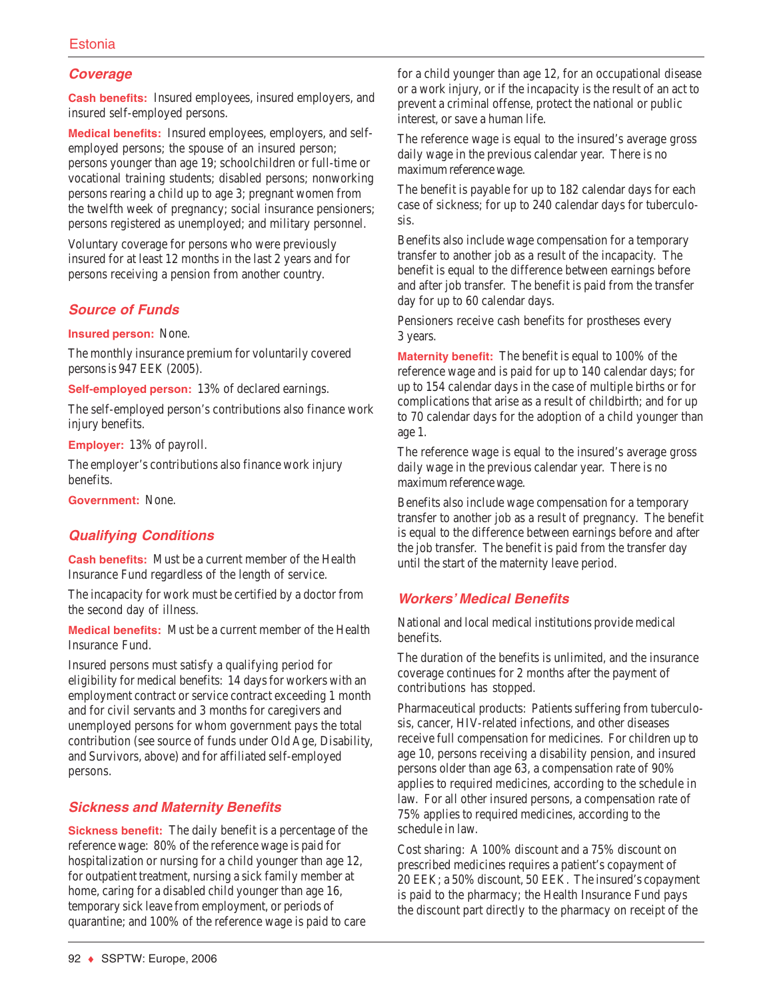### Estonia

### **Coverage**

**Cash benefits:** Insured employees, insured employers, and insured self-employed persons.

**Medical benefits:** Insured employees, employers, and selfemployed persons; the spouse of an insured person; persons younger than age 19; schoolchildren or full-time or vocational training students; disabled persons; nonworking persons rearing a child up to age 3; pregnant women from the twelfth week of pregnancy; social insurance pensioners; persons registered as unemployed; and military personnel.

Voluntary coverage for persons who were previously insured for at least 12 months in the last 2 years and for persons receiving a pension from another country.

### **Source of Funds**

**Insured person:** None.

The monthly insurance premium for voluntarily covered persons is 947 EEK (2005).

**Self-employed person:** 13% of declared earnings.

The self-employed person's contributions also finance work injury benefits.

**Employer:** 13% of payroll.

The employer's contributions also finance work injury benefits.

**Government:** None.

### **Qualifying Conditions**

**Cash benefits:** Must be a current member of the Health Insurance Fund regardless of the length of service.

The incapacity for work must be certified by a doctor from the second day of illness.

**Medical benefits:** Must be a current member of the Health Insurance Fund.

Insured persons must satisfy a qualifying period for eligibility for medical benefits: 14 days for workers with an employment contract or service contract exceeding 1 month and for civil servants and 3 months for caregivers and unemployed persons for whom government pays the total contribution (see source of funds under Old Age, Disability, and Survivors, above) and for affiliated self-employed persons.

### **Sickness and Maternity Benefits**

**Sickness benefit:** The daily benefit is a percentage of the reference wage: 80% of the reference wage is paid for hospitalization or nursing for a child younger than age 12, for outpatient treatment, nursing a sick family member at home, caring for a disabled child younger than age 16, temporary sick leave from employment, or periods of quarantine; and 100% of the reference wage is paid to care

for a child younger than age 12, for an occupational disease or a work injury, or if the incapacity is the result of an act to prevent a criminal offense, protect the national or public interest, or save a human life.

The reference wage is equal to the insured's average gross daily wage in the previous calendar year. There is no maximum reference wage.

The benefit is payable for up to 182 calendar days for each case of sickness; for up to 240 calendar days for tuberculosis.

Benefits also include wage compensation for a temporary transfer to another job as a result of the incapacity. The benefit is equal to the difference between earnings before and after job transfer. The benefit is paid from the transfer day for up to 60 calendar days.

Pensioners receive cash benefits for prostheses every 3 years.

**Maternity benefit:** The benefit is equal to 100% of the reference wage and is paid for up to 140 calendar days; for up to 154 calendar days in the case of multiple births or for complications that arise as a result of childbirth; and for up to 70 calendar days for the adoption of a child younger than age 1.

The reference wage is equal to the insured's average gross daily wage in the previous calendar year. There is no maximum reference wage.

Benefits also include wage compensation for a temporary transfer to another job as a result of pregnancy. The benefit is equal to the difference between earnings before and after the job transfer. The benefit is paid from the transfer day until the start of the maternity leave period.

### **Workers' Medical Benefits**

National and local medical institutions provide medical benefits.

The duration of the benefits is unlimited, and the insurance coverage continues for 2 months after the payment of contributions has stopped.

Pharmaceutical products: Patients suffering from tuberculosis, cancer, HIV-related infections, and other diseases receive full compensation for medicines. For children up to age 10, persons receiving a disability pension, and insured persons older than age 63, a compensation rate of 90% applies to required medicines, according to the schedule in law. For all other insured persons, a compensation rate of 75% applies to required medicines, according to the schedule in law.

Cost sharing: A 100% discount and a 75% discount on prescribed medicines requires a patient's copayment of 20 EEK; a 50% discount, 50 EEK. The insured's copayment is paid to the pharmacy; the Health Insurance Fund pays the discount part directly to the pharmacy on receipt of the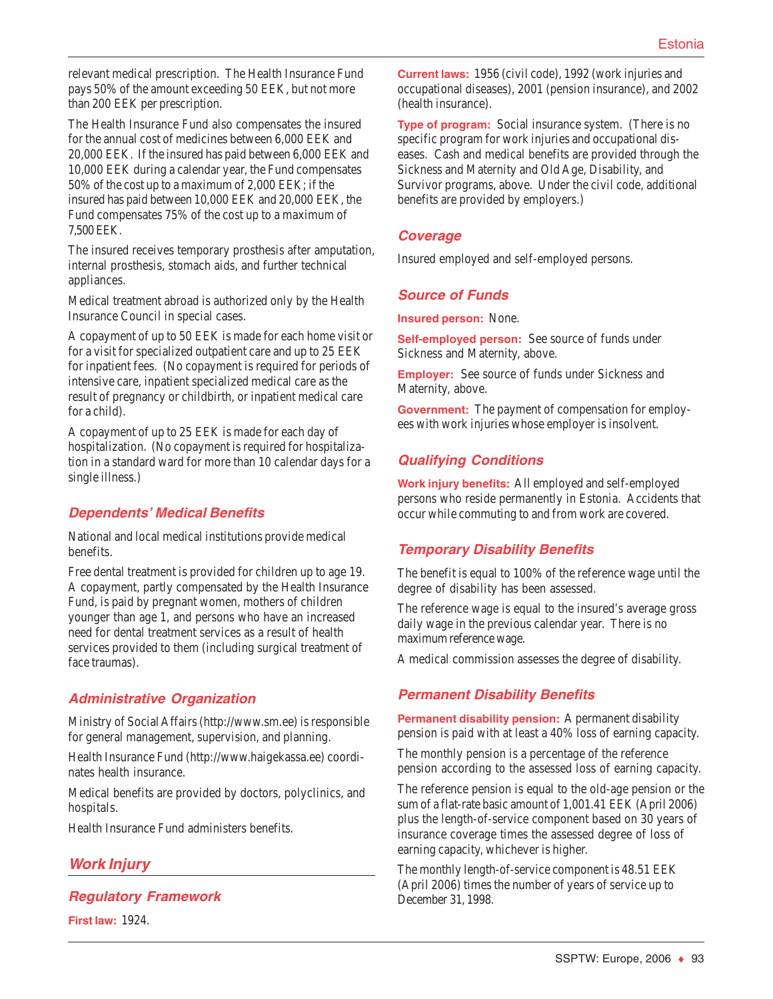relevant medical prescription. The Health Insurance Fund pays 50% of the amount exceeding 50 EEK, but not more than 200 EEK per prescription.

The Health Insurance Fund also compensates the insured for the annual cost of medicines between 6,000 EEK and 20,000 EEK. If the insured has paid between 6,000 EEK and 10,000 EEK during a calendar year, the Fund compensates 50% of the cost up to a maximum of 2,000 EEK; if the insured has paid between 10,000 EEK and 20,000 EEK, the Fund compensates 75% of the cost up to a maximum of 7,500 EEK.

The insured receives temporary prosthesis after amputation, internal prosthesis, stomach aids, and further technical appliances.

Medical treatment abroad is authorized only by the Health Insurance Council in special cases.

A copayment of up to 50 EEK is made for each home visit or for a visit for specialized outpatient care and up to 25 EEK for inpatient fees. (No copayment is required for periods of intensive care, inpatient specialized medical care as the result of pregnancy or childbirth, or inpatient medical care for a child).

A copayment of up to 25 EEK is made for each day of hospitalization. (No copayment is required for hospitalization in a standard ward for more than 10 calendar days for a single illness.)

## **Dependents' Medical Benefits**

National and local medical institutions provide medical benefits.

Free dental treatment is provided for children up to age 19. A copayment, partly compensated by the Health Insurance Fund, is paid by pregnant women, mothers of children younger than age 1, and persons who have an increased need for dental treatment services as a result of health services provided to them (including surgical treatment of face traumas).

## **Administrative Organization**

Ministry of Social Affairs (http://www.sm.ee) is responsible for general management, supervision, and planning.

Health Insurance Fund (http://www.haigekassa.ee) coordinates health insurance.

Medical benefits are provided by doctors, polyclinics, and hospitals.

Health Insurance Fund administers benefits.

## **Work Injury**

**Regulatory Framework**

**First law:** 1924.

**Current laws:** 1956 (civil code), 1992 (work injuries and occupational diseases), 2001 (pension insurance), and 2002 (health insurance).

**Type of program:** Social insurance system. (There is no specific program for work injuries and occupational diseases. Cash and medical benefits are provided through the Sickness and Maternity and Old Age, Disability, and Survivor programs, above. Under the civil code, additional benefits are provided by employers.)

### **Coverage**

Insured employed and self-employed persons.

## **Source of Funds**

**Insured person:** None.

**Self-employed person:** See source of funds under Sickness and Maternity, above.

**Employer:** See source of funds under Sickness and Maternity, above.

**Government:** The payment of compensation for employees with work injuries whose employer is insolvent.

## **Qualifying Conditions**

**Work injury benefits:** All employed and self-employed persons who reside permanently in Estonia. Accidents that occur while commuting to and from work are covered.

## **Temporary Disability Benefits**

The benefit is equal to 100% of the reference wage until the degree of disability has been assessed.

The reference wage is equal to the insured's average gross daily wage in the previous calendar year. There is no maximum reference wage.

A medical commission assesses the degree of disability.

## **Permanent Disability Benefits**

**Permanent disability pension:** A permanent disability pension is paid with at least a 40% loss of earning capacity.

The monthly pension is a percentage of the reference pension according to the assessed loss of earning capacity.

The reference pension is equal to the old-age pension or the sum of a flat-rate basic amount of 1,001.41 EEK (April 2006) plus the length-of-service component based on 30 years of insurance coverage times the assessed degree of loss of earning capacity, whichever is higher.

The monthly length-of-service component is 48.51 EEK (April 2006) times the number of years of service up to December 31, 1998.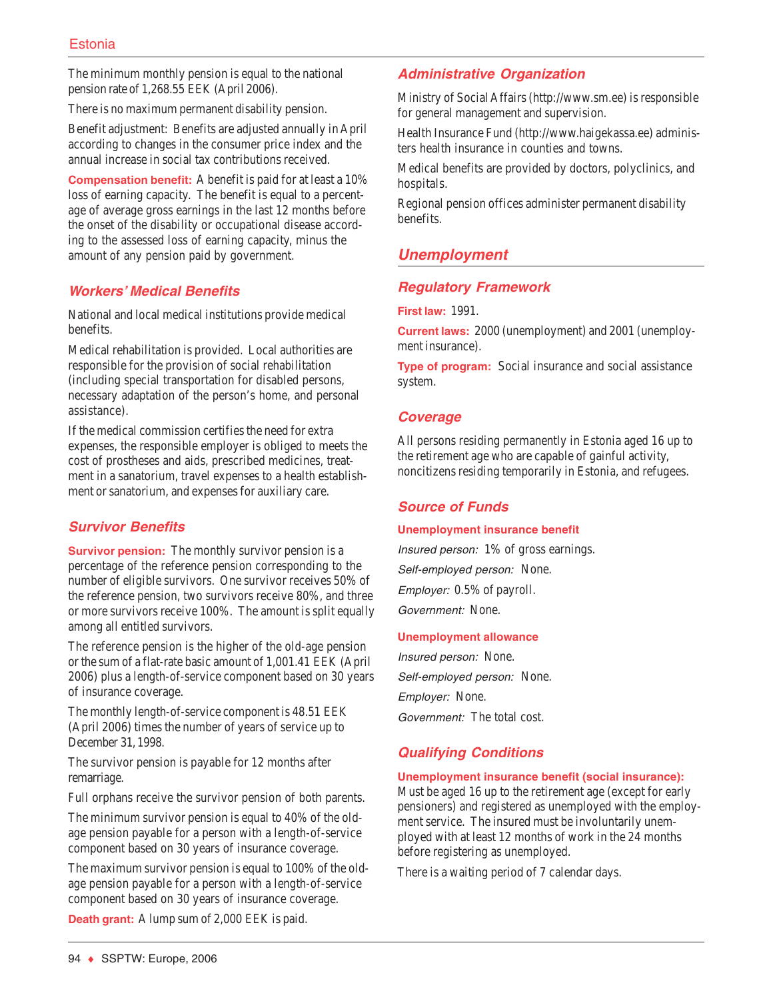The minimum monthly pension is equal to the national pension rate of 1,268.55 EEK (April 2006).

There is no maximum permanent disability pension.

Benefit adjustment: Benefits are adjusted annually in April according to changes in the consumer price index and the annual increase in social tax contributions received.

**Compensation benefit:** A benefit is paid for at least a 10% loss of earning capacity. The benefit is equal to a percentage of average gross earnings in the last 12 months before the onset of the disability or occupational disease according to the assessed loss of earning capacity, minus the amount of any pension paid by government.

## **Workers' Medical Benefits**

National and local medical institutions provide medical benefits.

Medical rehabilitation is provided. Local authorities are responsible for the provision of social rehabilitation (including special transportation for disabled persons, necessary adaptation of the person's home, and personal assistance).

If the medical commission certifies the need for extra expenses, the responsible employer is obliged to meets the cost of prostheses and aids, prescribed medicines, treatment in a sanatorium, travel expenses to a health establishment or sanatorium, and expenses for auxiliary care.

## **Survivor Benefits**

**Survivor pension:** The monthly survivor pension is a percentage of the reference pension corresponding to the number of eligible survivors. One survivor receives 50% of the reference pension, two survivors receive 80%, and three or more survivors receive 100%. The amount is split equally among all entitled survivors.

The reference pension is the higher of the old-age pension or the sum of a flat-rate basic amount of 1,001.41 EEK (April 2006) plus a length-of-service component based on 30 years of insurance coverage.

The monthly length-of-service component is 48.51 EEK (April 2006) times the number of years of service up to December 31, 1998.

The survivor pension is payable for 12 months after remarriage.

Full orphans receive the survivor pension of both parents.

The minimum survivor pension is equal to 40% of the oldage pension payable for a person with a length-of-service component based on 30 years of insurance coverage.

The maximum survivor pension is equal to 100% of the oldage pension payable for a person with a length-of-service component based on 30 years of insurance coverage.

**Death grant:** A lump sum of 2,000 EEK is paid.

## **Administrative Organization**

Ministry of Social Affairs (http://www.sm.ee) is responsible for general management and supervision.

Health Insurance Fund (http://www.haigekassa.ee) administers health insurance in counties and towns.

Medical benefits are provided by doctors, polyclinics, and hospitals.

Regional pension offices administer permanent disability benefits.

## **Unemployment**

## **Regulatory Framework**

**First law:** 1991.

**Current laws:** 2000 (unemployment) and 2001 (unemployment insurance).

**Type of program:** Social insurance and social assistance system.

### **Coverage**

All persons residing permanently in Estonia aged 16 up to the retirement age who are capable of gainful activity, noncitizens residing temporarily in Estonia, and refugees.

## **Source of Funds**

### **Unemployment insurance benefit**

Insured person: 1% of gross earnings. Self-employed person: None. Employer: 0.5% of payroll. Government: None.

### **Unemployment allowance**

Insured person: None. Self-employed person: None. Employer: None. Government: The total cost.

## **Qualifying Conditions**

### **Unemployment insurance benefit (social insurance):**

Must be aged 16 up to the retirement age (except for early pensioners) and registered as unemployed with the employment service. The insured must be involuntarily unemployed with at least 12 months of work in the 24 months before registering as unemployed.

There is a waiting period of 7 calendar days.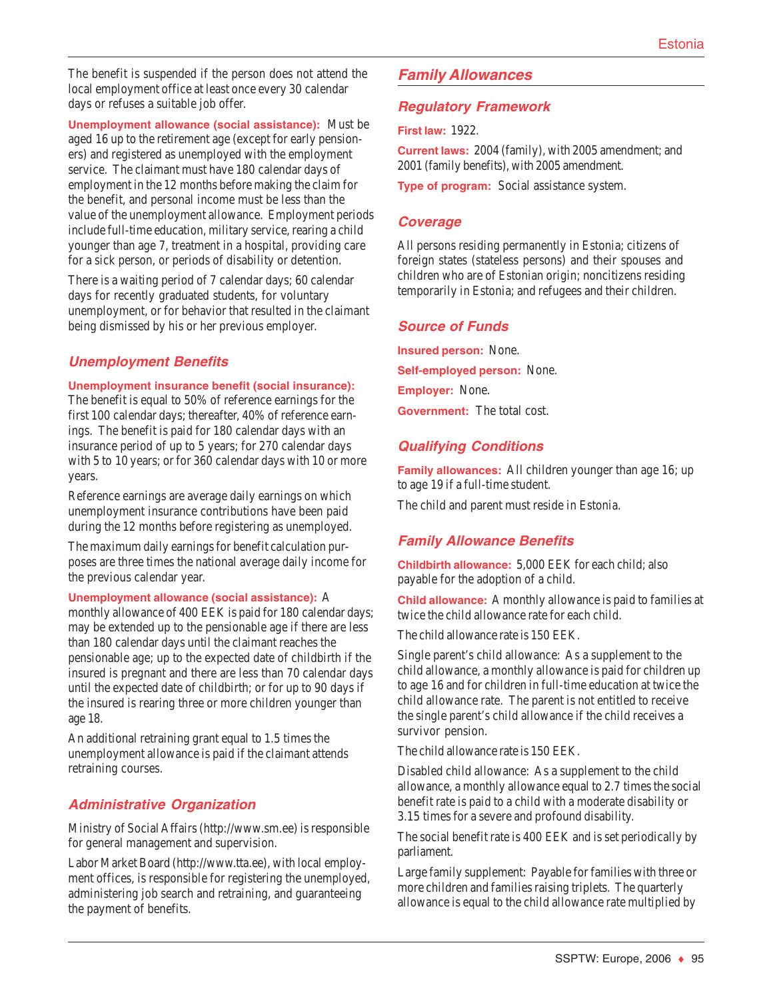The benefit is suspended if the person does not attend the local employment office at least once every 30 calendar days or refuses a suitable job offer.

**Unemployment allowance (social assistance):** Must be aged 16 up to the retirement age (except for early pensioners) and registered as unemployed with the employment service. The claimant must have 180 calendar days of employment in the 12 months before making the claim for the benefit, and personal income must be less than the value of the unemployment allowance. Employment periods include full-time education, military service, rearing a child younger than age 7, treatment in a hospital, providing care for a sick person, or periods of disability or detention.

There is a waiting period of 7 calendar days; 60 calendar days for recently graduated students, for voluntary unemployment, or for behavior that resulted in the claimant being dismissed by his or her previous employer.

## **Unemployment Benefits**

### **Unemployment insurance benefit (social insurance):**

The benefit is equal to 50% of reference earnings for the first 100 calendar days; thereafter, 40% of reference earnings. The benefit is paid for 180 calendar days with an insurance period of up to 5 years; for 270 calendar days with 5 to 10 years; or for 360 calendar days with 10 or more years.

Reference earnings are average daily earnings on which unemployment insurance contributions have been paid during the 12 months before registering as unemployed.

The maximum daily earnings for benefit calculation purposes are three times the national average daily income for the previous calendar year.

**Unemployment allowance (social assistance):** A

monthly allowance of 400 EEK is paid for 180 calendar days; may be extended up to the pensionable age if there are less than 180 calendar days until the claimant reaches the pensionable age; up to the expected date of childbirth if the insured is pregnant and there are less than 70 calendar days until the expected date of childbirth; or for up to 90 days if the insured is rearing three or more children younger than age 18.

An additional retraining grant equal to 1.5 times the unemployment allowance is paid if the claimant attends retraining courses.

## **Administrative Organization**

Ministry of Social Affairs (http://www.sm.ee) is responsible for general management and supervision.

Labor Market Board (http://www.tta.ee), with local employment offices, is responsible for registering the unemployed, administering job search and retraining, and guaranteeing the payment of benefits.

## **Family Allowances**

## **Regulatory Framework**

**First law:** 1922.

**Current laws:** 2004 (family), with 2005 amendment; and 2001 (family benefits), with 2005 amendment.

**Type of program:** Social assistance system.

## **Coverage**

All persons residing permanently in Estonia; citizens of foreign states (stateless persons) and their spouses and children who are of Estonian origin; noncitizens residing temporarily in Estonia; and refugees and their children.

## **Source of Funds**

**Insured person:** None. **Self-employed person:** None. **Employer:** None.

**Government:** The total cost.

## **Qualifying Conditions**

**Family allowances:** All children younger than age 16; up to age 19 if a full-time student.

The child and parent must reside in Estonia.

## **Family Allowance Benefits**

**Childbirth allowance:** 5,000 EEK for each child; also payable for the adoption of a child.

**Child allowance:** A monthly allowance is paid to families at twice the child allowance rate for each child.

The child allowance rate is 150 EEK.

Single parent's child allowance: As a supplement to the child allowance, a monthly allowance is paid for children up to age 16 and for children in full-time education at twice the child allowance rate. The parent is not entitled to receive the single parent's child allowance if the child receives a survivor pension.

The child allowance rate is 150 EEK.

Disabled child allowance: As a supplement to the child allowance, a monthly allowance equal to 2.7 times the social benefit rate is paid to a child with a moderate disability or 3.15 times for a severe and profound disability.

The social benefit rate is 400 EEK and is set periodically by parliament.

Large family supplement: Payable for families with three or more children and families raising triplets. The quarterly allowance is equal to the child allowance rate multiplied by